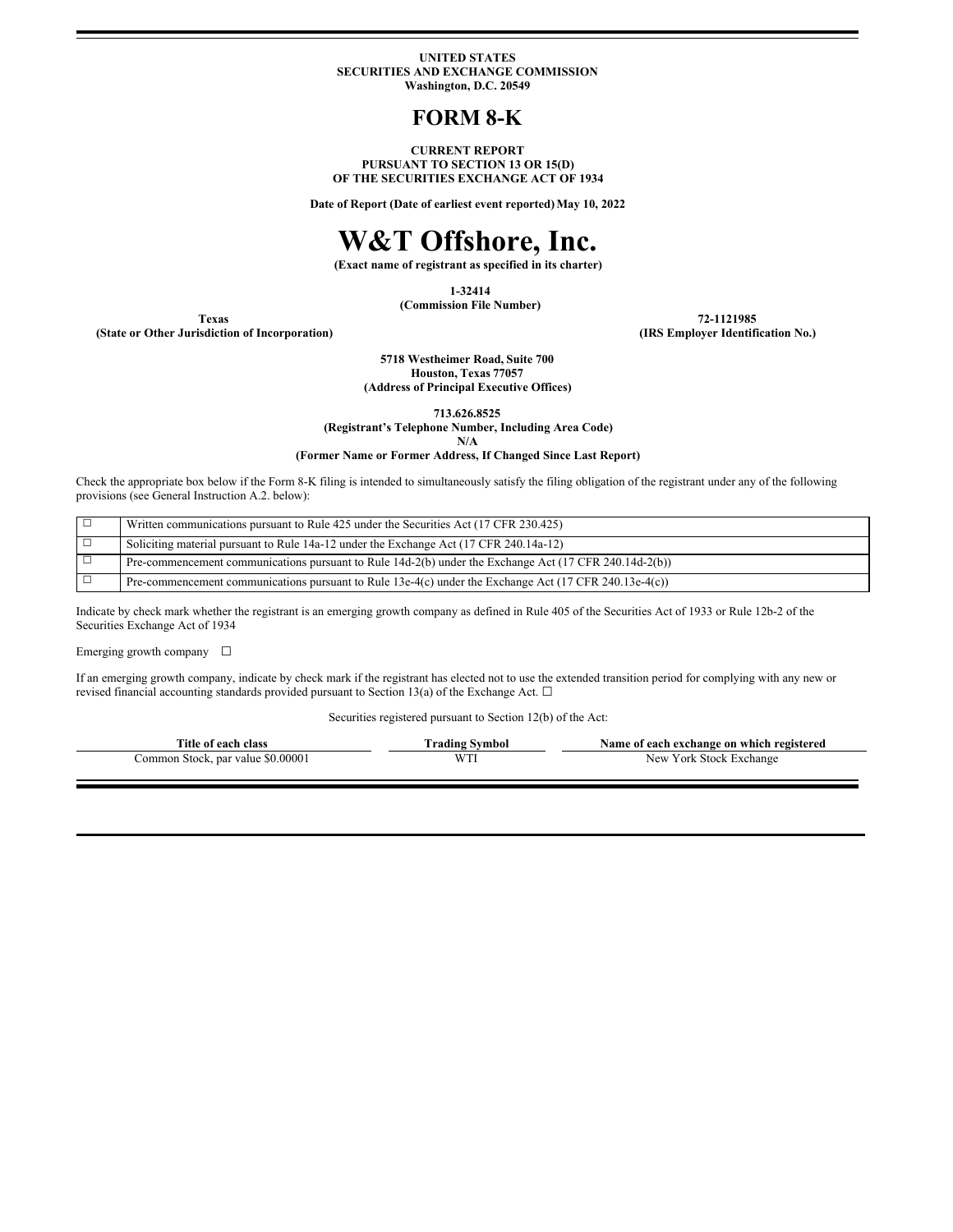**UNITED STATES SECURITIES AND EXCHANGE COMMISSION Washington, D.C. 20549**

### **FORM 8-K**

#### **CURRENT REPORT PURSUANT TO SECTION 13 OR 15(D) OF THE SECURITIES EXCHANGE ACT OF 1934**

**Date of Report (Date of earliest event reported)May 10, 2022**

# **W&T Offshore, Inc.**

**(Exact name of registrant as specified in its charter)**

**1-32414 (Commission File Number)**

**(State or Other Jurisdiction of Incorporation) (IRS Employer Identification No.)**

**Texas 72-1121985**

**5718 Westheimer Road, Suite 700 Houston, Texas 77057 (Address of Principal Executive Offices)**

**713.626.8525**

**(Registrant's Telephone Number, Including Area Code) N/A**

#### **(Former Name or Former Address, If Changed Since Last Report)**

Check the appropriate box below if the Form 8-K filing is intended to simultaneously satisfy the filing obligation of the registrant under any of the following provisions (see General Instruction A.2. below):

| Written communications pursuant to Rule 425 under the Securities Act (17 CFR 230.425)                  |
|--------------------------------------------------------------------------------------------------------|
| Soliciting material pursuant to Rule 14a-12 under the Exchange Act (17 CFR 240.14a-12)                 |
| Pre-commencement communications pursuant to Rule 14d-2(b) under the Exchange Act (17 CFR 240.14d-2(b)) |
| Pre-commencement communications pursuant to Rule 13e-4(c) under the Exchange Act (17 CFR 240.13e-4(c)) |

Indicate by check mark whether the registrant is an emerging growth company as defined in Rule 405 of the Securities Act of 1933 or Rule 12b-2 of the Securities Exchange Act of 1934

Emerging growth company  $\Box$ 

If an emerging growth company, indicate by check mark if the registrant has elected not to use the extended transition period for complying with any new or revised financial accounting standards provided pursuant to Section 13(a) of the Exchange Act.  $\Box$ 

Securities registered pursuant to Section 12(b) of the Act:

| Title of each class               | <b>Trading Symbol</b> | Name of each exchange on which registered |
|-----------------------------------|-----------------------|-------------------------------------------|
| Common Stock, par value \$0.00001 |                       | New York Stock Exchange                   |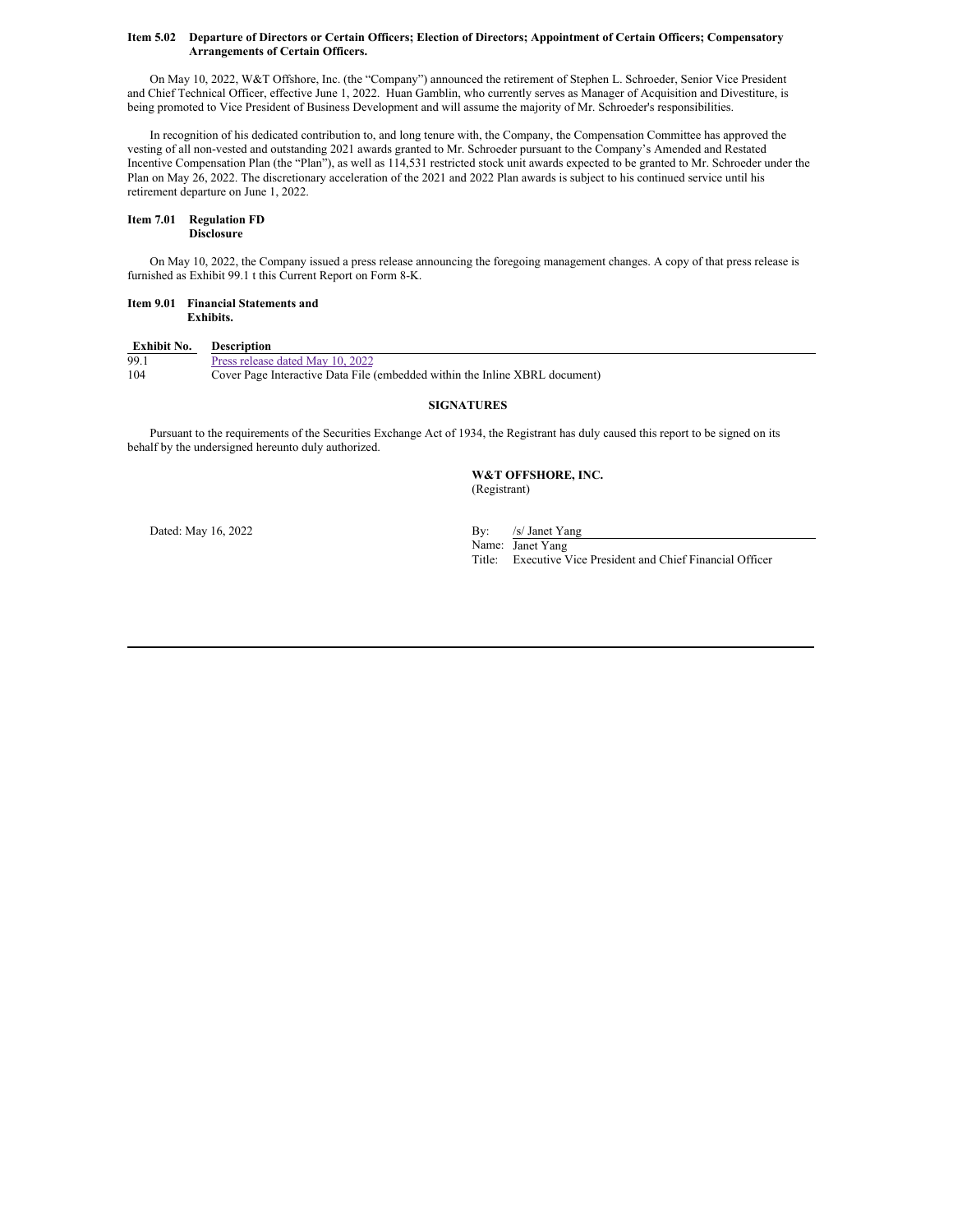#### Item 5.02 Departure of Directors or Certain Officers; Election of Directors; Appointment of Certain Officers; Compensatory **Arrangements of Certain Officers.**

On May 10, 2022, W&T Offshore, Inc. (the "Company") announced the retirement of Stephen L. Schroeder, Senior Vice President and Chief Technical Officer, effective June 1, 2022. Huan Gamblin, who currently serves as Manager of Acquisition and Divestiture, is being promoted to Vice President of Business Development and will assume the majority of Mr. Schroeder's responsibilities.

In recognition of his dedicated contribution to, and long tenure with, the Company, the Compensation Committee has approved the vesting of all non-vested and outstanding 2021 awards granted to Mr. Schroeder pursuant to the Company's Amended and Restated Incentive Compensation Plan (the "Plan"), as well as 114,531 restricted stock unit awards expected to be granted to Mr. Schroeder under the Plan on May 26, 2022. The discretionary acceleration of the 2021 and 2022 Plan awards is subject to his continued service until his retirement departure on June 1, 2022.

#### **Item 7.01 Regulation FD Disclosure**

On May 10, 2022, the Company issued a press release announcing the foregoing management changes. A copy of that press release is furnished as Exhibit 99.1 t this Current Report on Form 8-K.

#### **Item 9.01 Financial Statements and Exhibits.**

| Exhibit No. | <b>Description</b>                                                          |
|-------------|-----------------------------------------------------------------------------|
| 99.1        | Press release dated May 10, 2022                                            |
| 104         | Cover Page Interactive Data File (embedded within the Inline XBRL document) |

#### **SIGNATURES**

Pursuant to the requirements of the Securities Exchange Act of 1934, the Registrant has duly caused this report to be signed on its behalf by the undersigned hereunto duly authorized.

> **W&T OFFSHORE, INC.** (Registrant)

Dated: May 16, 2022 By: /s/ Janet Yang

Name: Janet Yang

Title: Executive Vice President and Chief Financial Officer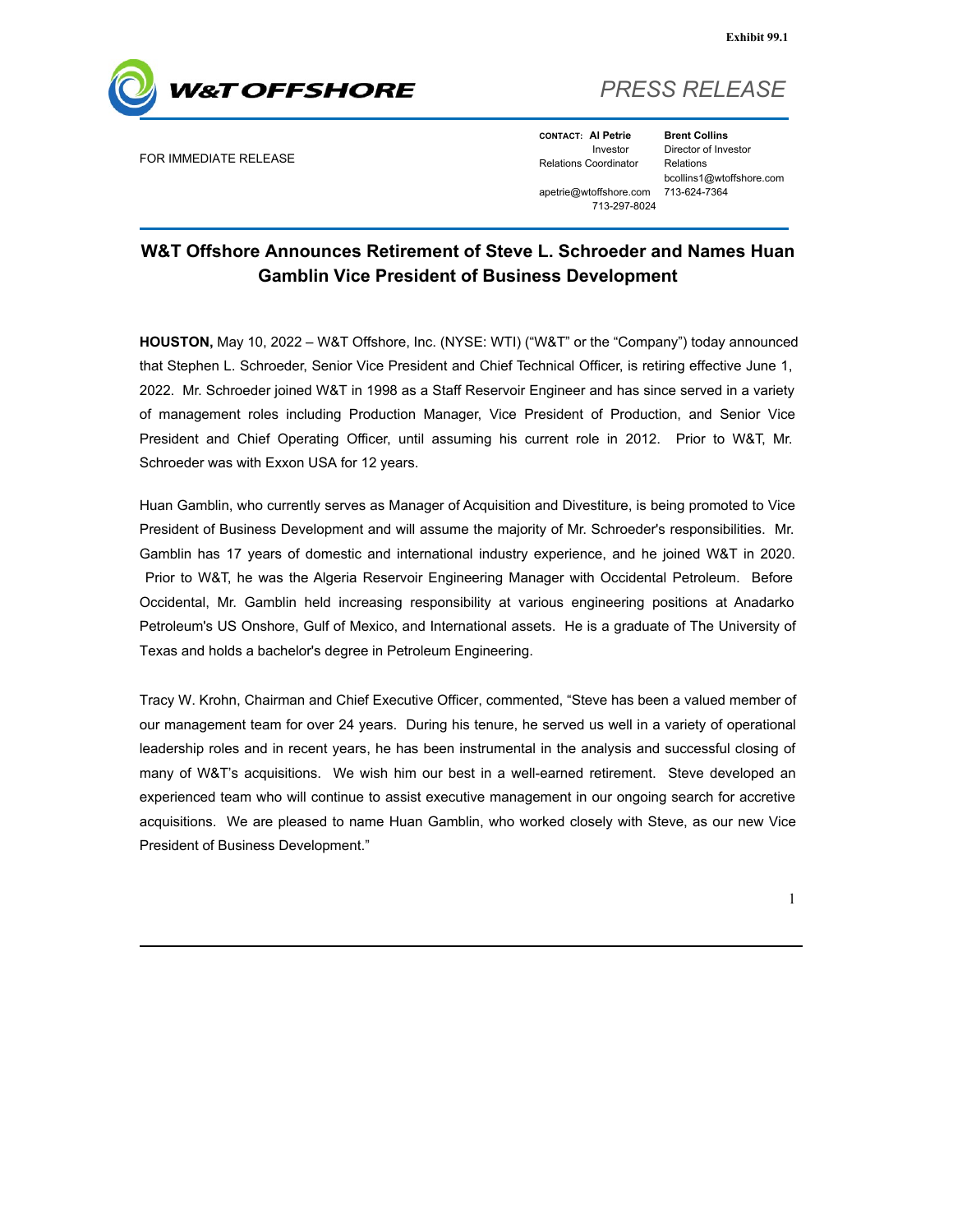<span id="page-2-0"></span>

# *PRESS RELEASE*

FOR IMMEDIATE RELEASE

**CONTACT: Al Petrie** Investor Relations Coordinator apetrie@wtoffshore.com 713-624-7364 713-297-8024

**Brent Collins** Director of Investor Relations bcollins1@wtoffshore.com

## **W&T Offshore Announces Retirement of Steve L. Schroeder and Names Huan Gamblin Vice President of Business Development**

**HOUSTON,** May 10, 2022 – W&T Offshore, Inc. (NYSE: WTI) ("W&T" or the "Company") today announced that Stephen L. Schroeder, Senior Vice President and Chief Technical Officer, is retiring effective June 1, 2022. Mr. Schroeder joined W&T in 1998 as a Staff Reservoir Engineer and has since served in a variety of management roles including Production Manager, Vice President of Production, and Senior Vice President and Chief Operating Officer, until assuming his current role in 2012. Prior to W&T, Mr. Schroeder was with Exxon USA for 12 years.

Huan Gamblin, who currently serves as Manager of Acquisition and Divestiture, is being promoted to Vice President of Business Development and will assume the majority of Mr. Schroeder's responsibilities. Mr. Gamblin has 17 years of domestic and international industry experience, and he joined W&T in 2020. Prior to W&T, he was the Algeria Reservoir Engineering Manager with Occidental Petroleum. Before Occidental, Mr. Gamblin held increasing responsibility at various engineering positions at Anadarko Petroleum's US Onshore, Gulf of Mexico, and International assets. He is a graduate of The University of Texas and holds a bachelor's degree in Petroleum Engineering.

Tracy W. Krohn, Chairman and Chief Executive Officer, commented, "Steve has been a valued member of our management team for over 24 years. During his tenure, he served us well in a variety of operational leadership roles and in recent years, he has been instrumental in the analysis and successful closing of many of W&T's acquisitions. We wish him our best in a well-earned retirement. Steve developed an experienced team who will continue to assist executive management in our ongoing search for accretive acquisitions. We are pleased to name Huan Gamblin, who worked closely with Steve, as our new Vice President of Business Development."